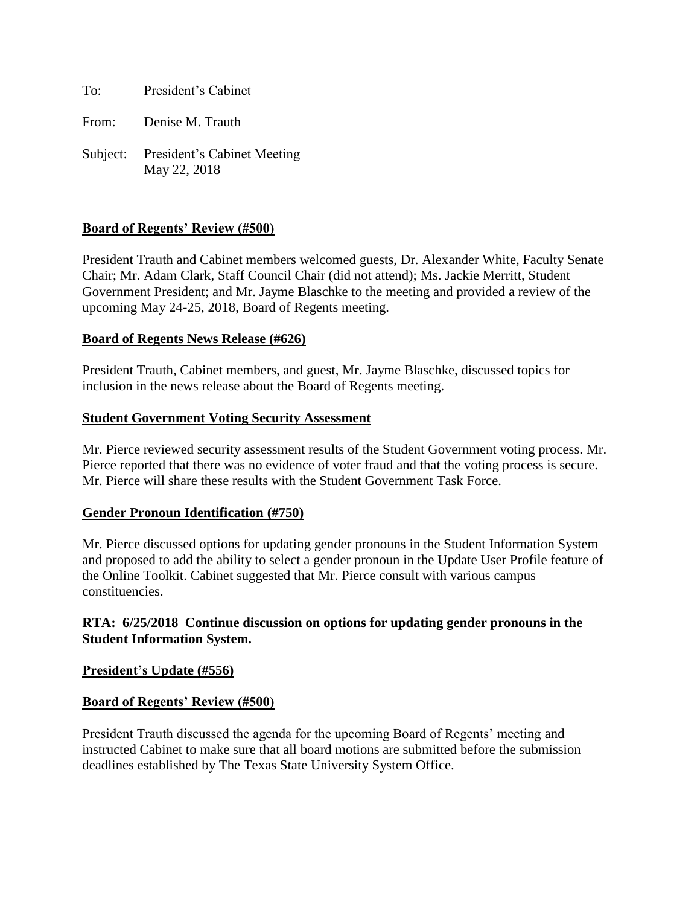To: President's Cabinet

From: Denise M. Trauth

Subject: President's Cabinet Meeting May 22, 2018

#### **Board of Regents' Review (#500)**

President Trauth and Cabinet members welcomed guests, Dr. Alexander White, Faculty Senate Chair; Mr. Adam Clark, Staff Council Chair (did not attend); Ms. Jackie Merritt, Student Government President; and Mr. Jayme Blaschke to the meeting and provided a review of the upcoming May 24-25, 2018, Board of Regents meeting.

#### **Board of Regents News Release (#626)**

President Trauth, Cabinet members, and guest, Mr. Jayme Blaschke, discussed topics for inclusion in the news release about the Board of Regents meeting.

#### **Student Government Voting Security Assessment**

Mr. Pierce reviewed security assessment results of the Student Government voting process. Mr. Pierce reported that there was no evidence of voter fraud and that the voting process is secure. Mr. Pierce will share these results with the Student Government Task Force.

## **Gender Pronoun Identification (#750)**

Mr. Pierce discussed options for updating gender pronouns in the Student Information System and proposed to add the ability to select a gender pronoun in the Update User Profile feature of the Online Toolkit. Cabinet suggested that Mr. Pierce consult with various campus constituencies.

# **RTA: 6/25/2018 Continue discussion on options for updating gender pronouns in the Student Information System.**

#### **President's Update (#556)**

## **Board of Regents' Review (#500)**

President Trauth discussed the agenda for the upcoming Board of Regents' meeting and instructed Cabinet to make sure that all board motions are submitted before the submission deadlines established by The Texas State University System Office.